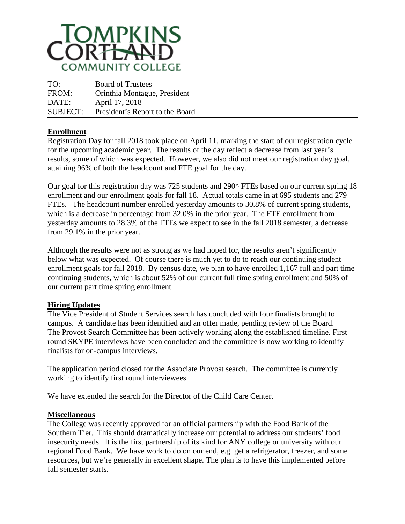

| TO:             | <b>Board of Trustees</b>        |
|-----------------|---------------------------------|
| FROM:           | Orinthia Montague, President    |
| DATE:           | April 17, 2018                  |
| <b>SUBJECT:</b> | President's Report to the Board |

## **Enrollment**

Registration Day for fall 2018 took place on April 11, marking the start of our registration cycle for the upcoming academic year. The results of the day reflect a decrease from last year's results, some of which was expected. However, we also did not meet our registration day goal, attaining 96% of both the headcount and FTE goal for the day.

Our goal for this registration day was 725 students and 290 $\land$  FTEs based on our current spring 18 enrollment and our enrollment goals for fall 18. Actual totals came in at 695 students and 279 FTEs. The headcount number enrolled yesterday amounts to 30.8% of current spring students, which is a decrease in percentage from 32.0% in the prior year. The FTE enrollment from yesterday amounts to 28.3% of the FTEs we expect to see in the fall 2018 semester, a decrease from 29.1% in the prior year.

Although the results were not as strong as we had hoped for, the results aren't significantly below what was expected. Of course there is much yet to do to reach our continuing student enrollment goals for fall 2018. By census date, we plan to have enrolled 1,167 full and part time continuing students, which is about 52% of our current full time spring enrollment and 50% of our current part time spring enrollment.

## **Hiring Updates**

The Vice President of Student Services search has concluded with four finalists brought to campus. A candidate has been identified and an offer made, pending review of the Board. The Provost Search Committee has been actively working along the established timeline. First round SKYPE interviews have been concluded and the committee is now working to identify finalists for on-campus interviews.

The application period closed for the Associate Provost search. The committee is currently working to identify first round interviewees.

We have extended the search for the Director of the Child Care Center.

## **Miscellaneous**

The College was recently approved for an official partnership with the Food Bank of the Southern Tier. This should dramatically increase our potential to address our students' food insecurity needs. It is the first partnership of its kind for ANY college or university with our regional Food Bank. We have work to do on our end, e.g. get a refrigerator, freezer, and some resources, but we're generally in excellent shape. The plan is to have this implemented before fall semester starts.